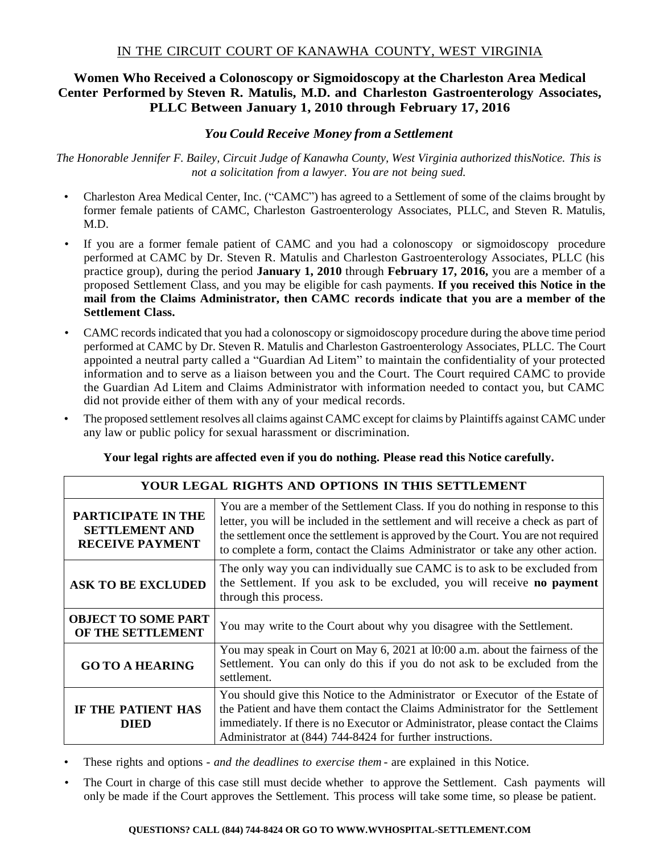# IN THE CIRCUIT COURT OF KANAWHA COUNTY, WEST VIRGINIA

# **Women Who Received a Colonoscopy or Sigmoidoscopy at the Charleston Area Medical Center Performed by Steven R. Matulis, M.D. and Charleston Gastroenterology Associates, PLLC Between January 1, 2010 through February 17, 2016**

## *You Could Receive Money from a Settlement*

*The Honorable Jennifer F. Bailey, Circuit Judge of Kanawha County, West Virginia authorized thisNotice. This is not a solicitation from a lawyer. You are not being sued.*

- Charleston Area Medical Center, Inc. ("CAMC") has agreed to a Settlement of some of the claims brought by former female patients of CAMC, Charleston Gastroenterology Associates, PLLC, and Steven R. Matulis, M.D.
- If you are a former female patient of CAMC and you had a colonoscopy or sigmoidoscopy procedure performed at CAMC by Dr. Steven R. Matulis and Charleston Gastroenterology Associates, PLLC (his practice group), during the period **January 1, 2010** through **February 17, 2016,** you are a member of a proposed Settlement Class, and you may be eligible for cash payments. **If you received this Notice in the mail from the Claims Administrator, then CAMC records indicate that you are a member of the Settlement Class.**
- CAMC records indicated that you had a colonoscopy or sigmoidoscopy procedure during the above time period performed at CAMC by Dr. Steven R. Matulis and Charleston Gastroenterology Associates, PLLC. The Court appointed a neutral party called a "Guardian Ad Litem" to maintain the confidentiality of your protected information and to serve as a liaison between you and the Court. The Court required CAMC to provide the Guardian Ad Litem and Claims Administrator with information needed to contact you, but CAMC did not provide either of them with any of your medical records.
- The proposed settlement resolves all claims against CAMC except for claims by Plaintiffs against CAMC under any law or public policy for sexual harassment or discrimination.

|  |  |  | Your legal rights are affected even if you do nothing. Please read this Notice carefully. |  |
|--|--|--|-------------------------------------------------------------------------------------------|--|
|  |  |  |                                                                                           |  |

Г

|                                                                       | <b>YOUR LEGAL RIGHTS AND OPTIONS IN THIS SETTLEMENT</b>                                                                                                                                                                                                                                                                                      |
|-----------------------------------------------------------------------|----------------------------------------------------------------------------------------------------------------------------------------------------------------------------------------------------------------------------------------------------------------------------------------------------------------------------------------------|
| PARTICIPATE IN THE<br><b>SETTLEMENT AND</b><br><b>RECEIVE PAYMENT</b> | You are a member of the Settlement Class. If you do nothing in response to this<br>letter, you will be included in the settlement and will receive a check as part of<br>the settlement once the settlement is approved by the Court. You are not required<br>to complete a form, contact the Claims Administrator or take any other action. |
| <b>ASK TO BE EXCLUDED</b>                                             | The only way you can individually sue CAMC is to ask to be excluded from<br>the Settlement. If you ask to be excluded, you will receive no payment<br>through this process.                                                                                                                                                                  |
| <b>OBJECT TO SOME PART</b><br>OF THE SETTLEMENT                       | You may write to the Court about why you disagree with the Settlement.                                                                                                                                                                                                                                                                       |
| <b>GO TO A HEARING</b>                                                | You may speak in Court on May 6, 2021 at 10:00 a.m. about the fairness of the<br>Settlement. You can only do this if you do not ask to be excluded from the<br>settlement.                                                                                                                                                                   |
| IF THE PATIENT HAS<br><b>DIED</b>                                     | You should give this Notice to the Administrator or Executor of the Estate of<br>the Patient and have them contact the Claims Administrator for the Settlement<br>immediately. If there is no Executor or Administrator, please contact the Claims<br>Administrator at (844) 744-8424 for further instructions.                              |

• These rights and options - *and the deadlines to exercise them* - are explained in this Notice.

• The Court in charge of this case still must decide whether to approve the Settlement. Cash payments will only be made if the Court approves the Settlement. This process will take some time, so please be patient.

#### **QUESTIONS? CALL (844) 744-8424 OR GO TO WWW.WVHOSPITAL-SETTLEMENT.COM**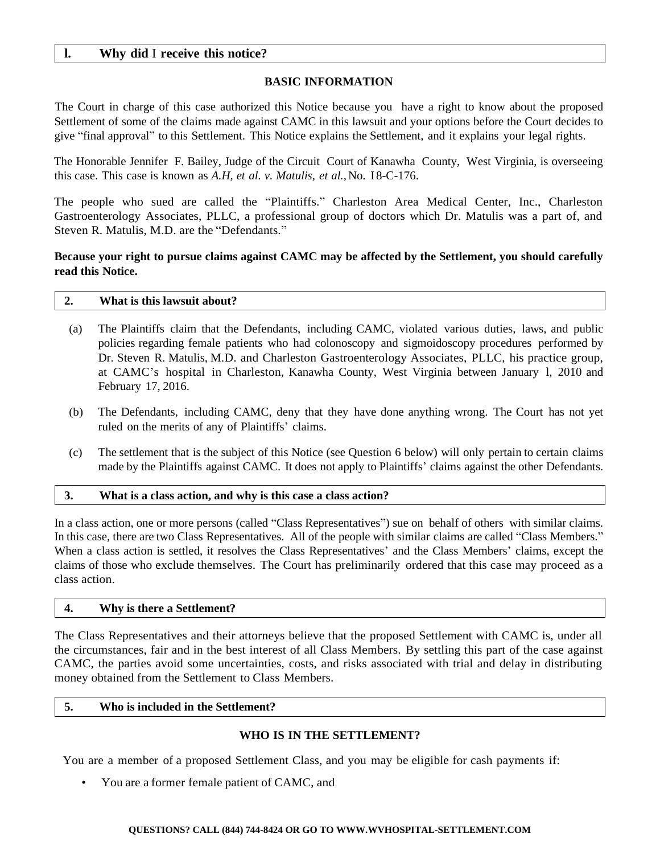## **l. Why did** I **receive this notice?**

### **BASIC INFORMATION**

The Court in charge of this case authorized this Notice because you have a right to know about the proposed Settlement of some of the claims made against CAMC in this lawsuit and your options before the Court decides to give "final approval" to this Settlement. This Notice explains the Settlement, and it explains your legal rights.

The Honorable Jennifer F. Bailey, Judge of the Circuit Court of Kanawha County, West Virginia, is overseeing this case. This case is known as *A.H, et al. v. Matulis, et al.,*No. I 8-C-176.

The people who sued are called the "Plaintiffs." Charleston Area Medical Center, Inc., Charleston Gastroenterology Associates, PLLC, a professional group of doctors which Dr. Matulis was a part of, and Steven R. Matulis, M.D. are the "Defendants."

## **Because your right to pursue claims against CAMC may be affected by the Settlement, you should carefully read this Notice.**

# **2. What is this lawsuit about?**

- (a) The Plaintiffs claim that the Defendants, including CAMC, violated various duties, laws, and public policies regarding female patients who had colonoscopy and sigmoidoscopy procedures performed by Dr. Steven R. Matulis, M.D. and Charleston Gastroenterology Associates, PLLC, his practice group, at CAMC's hospital in Charleston, Kanawha County, West Virginia between January l, 2010 and February 17, 2016.
- (b) The Defendants, including CAMC, deny that they have done anything wrong. The Court has not yet ruled on the merits of any of Plaintiffs' claims.
- (c) The settlement that is the subject of this Notice (see Question 6 below) will only pertain to certain claims made by the Plaintiffs against CAMC. It does not apply to Plaintiffs' claims against the other Defendants.

#### **3. What is a class action, and why is this case a class action?**

In a class action, one or more persons (called "Class Representatives") sue on behalf of others with similar claims. In this case, there are two Class Representatives. All of the people with similar claims are called "Class Members." When a class action is settled, it resolves the Class Representatives' and the Class Members' claims, except the claims of those who exclude themselves. The Court has preliminarily ordered that this case may proceed as a class action.

#### **4. Why is there a Settlement?**

The Class Representatives and their attorneys believe that the proposed Settlement with CAMC is, under all the circumstances, fair and in the best interest of all Class Members. By settling this part of the case against CAMC, the parties avoid some uncertainties, costs, and risks associated with trial and delay in distributing money obtained from the Settlement to Class Members.

#### **5. Who is included in the Settlement?**

### **WHO IS IN THE SETTLEMENT?**

You are a member of a proposed Settlement Class, and you may be eligible for cash payments if:

• You are a former female patient of CAMC, and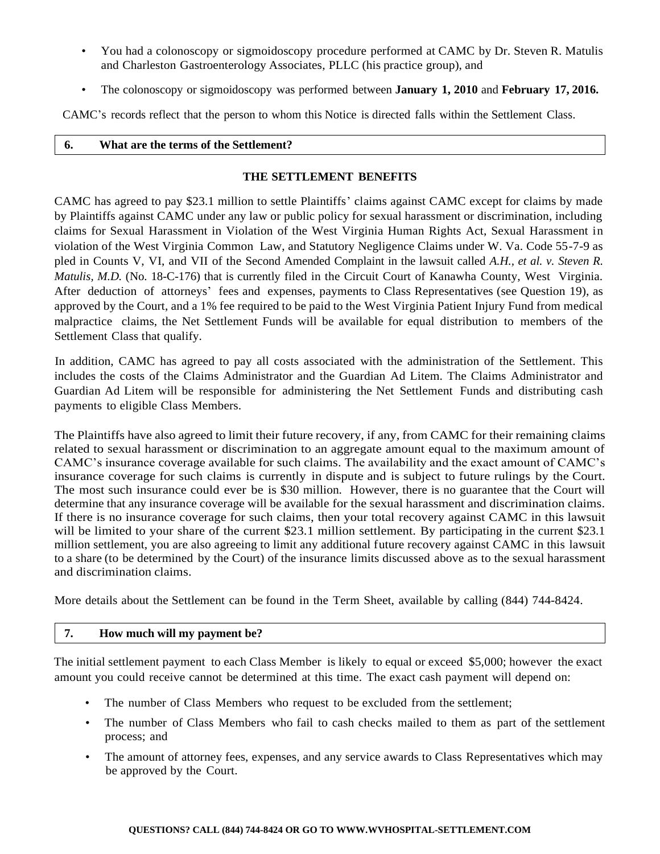- You had a colonoscopy or sigmoidoscopy procedure performed at CAMC by Dr. Steven R. Matulis and Charleston Gastroenterology Associates, PLLC (his practice group), and
- The colonoscopy or sigmoidoscopy was performed between **January 1, 2010** and **February 17, 2016.**

CAMC's records reflect that the person to whom this Notice is directed falls within the Settlement Class.

### **6. What are the terms of the Settlement?**

### **THE SETTLEMENT BENEFITS**

CAMC has agreed to pay \$23.1 million to settle Plaintiffs' claims against CAMC except for claims by made by Plaintiffs against CAMC under any law or public policy for sexual harassment or discrimination, including claims for Sexual Harassment in Violation of the West Virginia Human Rights Act, Sexual Harassment in violation of the West Virginia Common Law, and Statutory Negligence Claims under W. Va. Code 55-7-9 as pled in Counts V, VI, and VII of the Second Amended Complaint in the lawsuit called *A.H., et al. v. Steven R. Matulis, M.D.* (No. 18-C-176) that is currently filed in the Circuit Court of Kanawha County, West Virginia. After deduction of attorneys' fees and expenses, payments to Class Representatives (see Question 19), as approved by the Court, and a 1% fee required to be paid to the West Virginia Patient Injury Fund from medical malpractice claims, the Net Settlement Funds will be available for equal distribution to members of the Settlement Class that qualify.

In addition, CAMC has agreed to pay all costs associated with the administration of the Settlement. This includes the costs of the Claims Administrator and the Guardian Ad Litem. The Claims Administrator and Guardian Ad Litem will be responsible for administering the Net Settlement Funds and distributing cash payments to eligible Class Members.

The Plaintiffs have also agreed to limit their future recovery, if any, from CAMC for their remaining claims related to sexual harassment or discrimination to an aggregate amount equal to the maximum amount of CAMC's insurance coverage available for such claims. The availability and the exact amount of CAMC's insurance coverage for such claims is currently in dispute and is subject to future rulings by the Court. The most such insurance could ever be is \$30 million. However, there is no guarantee that the Court will determine that any insurance coverage will be available for the sexual harassment and discrimination claims. If there is no insurance coverage for such claims, then your total recovery against CAMC in this lawsuit will be limited to your share of the current \$23.1 million settlement. By participating in the current \$23.1 million settlement, you are also agreeing to limit any additional future recovery against CAMC in this lawsuit to a share (to be determined by the Court) of the insurance limits discussed above as to the sexual harassment and discrimination claims.

More details about the Settlement can be found in the Term Sheet, available by calling (844) 744-8424.

### **7. How much will my payment be?**

The initial settlement payment to each Class Member is likely to equal or exceed \$5,000; however the exact amount you could receive cannot be determined at this time. The exact cash payment will depend on:

- The number of Class Members who request to be excluded from the settlement;
- The number of Class Members who fail to cash checks mailed to them as part of the settlement process; and
- The amount of attorney fees, expenses, and any service awards to Class Representatives which may be approved by the Court.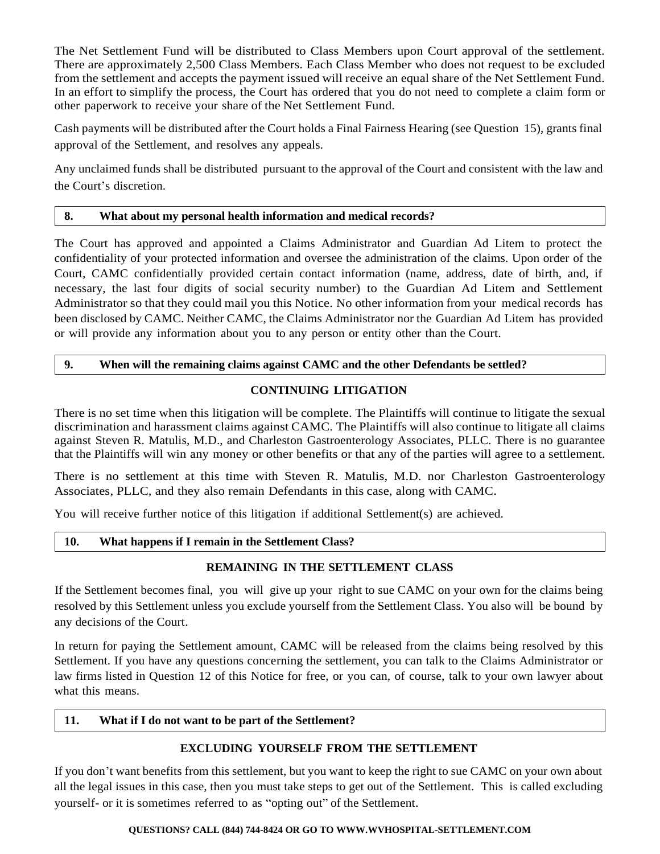The Net Settlement Fund will be distributed to Class Members upon Court approval of the settlement. There are approximately 2,500 Class Members. Each Class Member who does not request to be excluded from the settlement and accepts the payment issued will receive an equal share of the Net Settlement Fund. In an effort to simplify the process, the Court has ordered that you do not need to complete a claim form or other paperwork to receive your share of the Net Settlement Fund.

Cash payments will be distributed after the Court holds a Final Fairness Hearing (see Question 15), grants final approval of the Settlement, and resolves any appeals.

Any unclaimed funds shall be distributed pursuant to the approval of the Court and consistent with the law and the Court's discretion.

## **8. What about my personal health information and medical records?**

The Court has approved and appointed a Claims Administrator and Guardian Ad Litem to protect the confidentiality of your protected information and oversee the administration of the claims. Upon order of the Court, CAMC confidentially provided certain contact information (name, address, date of birth, and, if necessary, the last four digits of social security number) to the Guardian Ad Litem and Settlement Administrator so that they could mail you this Notice. No other information from your medical records has been disclosed by CAMC. Neither CAMC, the Claims Administrator nor the Guardian Ad Litem has provided or will provide any information about you to any person or entity other than the Court.

# **9. When will the remaining claims against CAMC and the other Defendants be settled?**

# **CONTINUING LITIGATION**

There is no set time when this litigation will be complete. The Plaintiffs will continue to litigate the sexual discrimination and harassment claims against CAMC. The Plaintiffs will also continue to litigate all claims against Steven R. Matulis, M.D., and Charleston Gastroenterology Associates, PLLC. There is no guarantee that the Plaintiffs will win any money or other benefits or that any of the parties will agree to a settlement.

There is no settlement at this time with Steven R. Matulis, M.D. nor Charleston Gastroenterology Associates, PLLC, and they also remain Defendants in this case, along with CAMC.

You will receive further notice of this litigation if additional Settlement(s) are achieved.

### **10. What happens if I remain in the Settlement Class?**

### **REMAINING IN THE SETTLEMENT CLASS**

If the Settlement becomes final, you will give up your right to sue CAMC on your own for the claims being resolved by this Settlement unless you exclude yourself from the Settlement Class. You also will be bound by any decisions of the Court.

In return for paying the Settlement amount, CAMC will be released from the claims being resolved by this Settlement. If you have any questions concerning the settlement, you can talk to the Claims Administrator or law firms listed in Question 12 of this Notice for free, or you can, of course, talk to your own lawyer about what this means.

### **11. What if I do not want to be part of the Settlement?**

# **EXCLUDING YOURSELF FROM THE SETTLEMENT**

If you don't want benefits from this settlement, but you want to keep the right to sue CAMC on your own about all the legal issues in this case, then you must take steps to get out of the Settlement. This is called excluding yourself- or it is sometimes referred to as "opting out" of the Settlement.

### **QUESTIONS? CALL (844) 744-8424 OR GO TO WWW.WVHOSPITAL-SETTLEMENT.COM**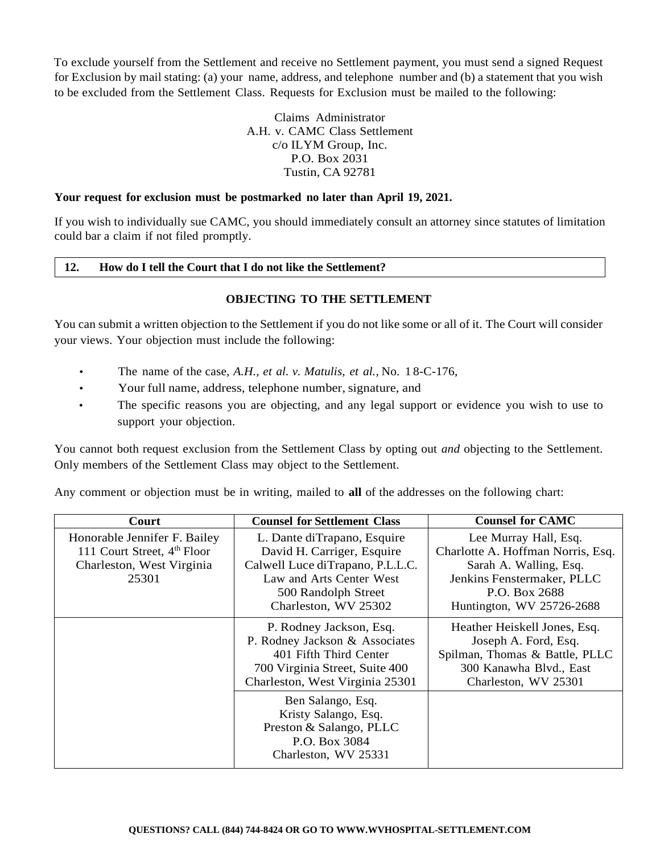To exclude yourself from the Settlement and receive no Settlement payment, you must send a signed Request for Exclusion by mail stating: (a) your name, address, and telephone number and (b) a statement that you wish to be excluded from the Settlement Class. Requests for Exclusion must be mailed to the following:

> Claims Administrator A.H. v. CAMC Class Settlement c/o ILYM Group, Inc. P.O. Box 2031 Tustin, CA 92781

### **Your request for exclusion must be postmarked no later than April 19, 2021.**

If you wish to individually sue CAMC, you should immediately consult an attorney since statutes of limitation could bar a claim if not filed promptly.

#### **12. How do I tell the Court that I do not like the Settlement?**

### **OBJECTING TO THE SETTLEMENT**

You can submit a written objection to the Settlement if you do not like some or all of it. The Court will consider your views. Your objection must include the following:

- The name of the case, *A.H., et al. v. Matulis, et al.,* No. 1 8-C-176,
- Your full name, address, telephone number, signature, and
- The specific reasons you are objecting, and any legal support or evidence you wish to use to support your objection.

You cannot both request exclusion from the Settlement Class by opting out *and* objecting to the Settlement. Only members of the Settlement Class may object to the Settlement.

Any comment or objection must be in writing, mailed to **all** of the addresses on the following chart:

| Court                                                                                                         | <b>Counsel for Settlement Class</b>                                                                                                                                      | <b>Counsel for CAMC</b>                                                                                                                                          |
|---------------------------------------------------------------------------------------------------------------|--------------------------------------------------------------------------------------------------------------------------------------------------------------------------|------------------------------------------------------------------------------------------------------------------------------------------------------------------|
| Honorable Jennifer F. Bailey<br>111 Court Street, 4 <sup>th</sup> Floor<br>Charleston, West Virginia<br>25301 | L. Dante diTrapano, Esquire<br>David H. Carriger, Esquire<br>Calwell Luce diTrapano, P.L.L.C.<br>Law and Arts Center West<br>500 Randolph Street<br>Charleston, WV 25302 | Lee Murray Hall, Esq.<br>Charlotte A. Hoffman Norris, Esq.<br>Sarah A. Walling, Esq.<br>Jenkins Fenstermaker, PLLC<br>P.O. Box 2688<br>Huntington, WV 25726-2688 |
|                                                                                                               | P. Rodney Jackson, Esq.<br>P. Rodney Jackson & Associates<br>401 Fifth Third Center<br>700 Virginia Street, Suite 400<br>Charleston, West Virginia 25301                 | Heather Heiskell Jones, Esq.<br>Joseph A. Ford, Esq.<br>Spilman, Thomas & Battle, PLLC<br>300 Kanawha Blvd., East<br>Charleston, WV 25301                        |
|                                                                                                               | Ben Salango, Esq.<br>Kristy Salango, Esq.<br>Preston & Salango, PLLC<br>P.O. Box 3084<br>Charleston, WV 25331                                                            |                                                                                                                                                                  |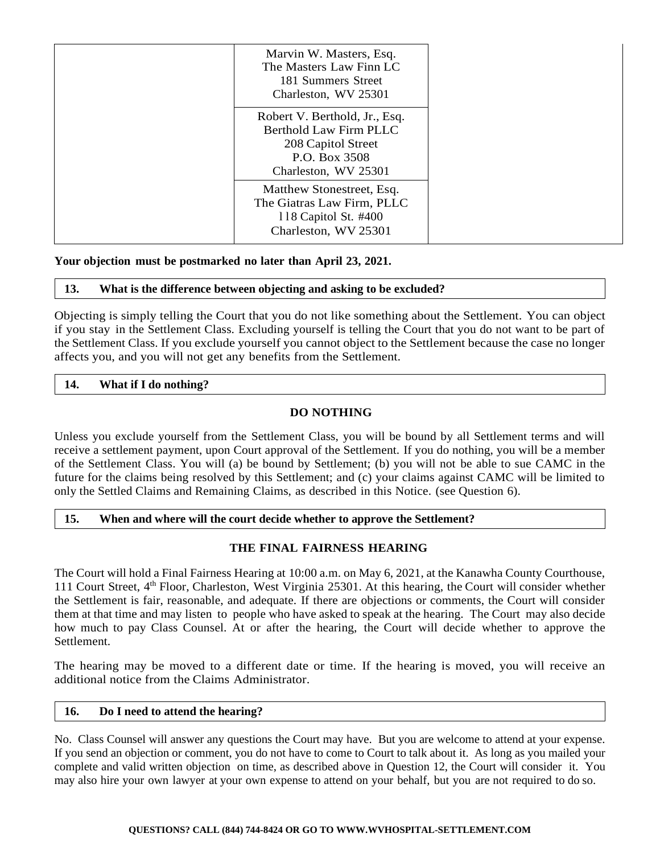|  | Marvin W. Masters, Esq.<br>The Masters Law Finn LC<br>181 Summers Street<br>Charleston, WV 25301                              |
|--|-------------------------------------------------------------------------------------------------------------------------------|
|  | Robert V. Berthold, Jr., Esq.<br><b>Berthold Law Firm PLLC</b><br>208 Capitol Street<br>P.O. Box 3508<br>Charleston, WV 25301 |
|  | Matthew Stonestreet, Esq.<br>The Giatras Law Firm, PLLC<br>118 Capitol St. #400<br>Charleston, WV 25301                       |

### **Your objection must be postmarked no later than April 23, 2021.**

### **13. What is the difference between objecting and asking to be excluded?**

Objecting is simply telling the Court that you do not like something about the Settlement. You can object if you stay in the Settlement Class. Excluding yourself is telling the Court that you do not want to be part of the Settlement Class. If you exclude yourself you cannot object to the Settlement because the case no longer affects you, and you will not get any benefits from the Settlement.

## **14. What if I do nothing?**

# **DO NOTHING**

Unless you exclude yourself from the Settlement Class, you will be bound by all Settlement terms and will receive a settlement payment, upon Court approval of the Settlement. If you do nothing, you will be a member of the Settlement Class. You will (a) be bound by Settlement; (b) you will not be able to sue CAMC in the future for the claims being resolved by this Settlement; and (c) your claims against CAMC will be limited to only the Settled Claims and Remaining Claims, as described in this Notice. (see Question 6).

### **15. When and where will the court decide whether to approve the Settlement?**

# **THE FINAL FAIRNESS HEARING**

The Court will hold a Final Fairness Hearing at 10:00 a.m. on May 6, 2021, at the Kanawha County Courthouse, 111 Court Street, 4<sup>th</sup> Floor, Charleston, West Virginia 25301. At this hearing, the Court will consider whether the Settlement is fair, reasonable, and adequate. If there are objections or comments, the Court will consider them at that time and may listen to people who have asked to speak at the hearing. The Court may also decide how much to pay Class Counsel. At or after the hearing, the Court will decide whether to approve the Settlement.

The hearing may be moved to a different date or time. If the hearing is moved, you will receive an additional notice from the Claims Administrator.

### **16. Do I need to attend the hearing?**

No. Class Counsel will answer any questions the Court may have. But you are welcome to attend at your expense. If you send an objection or comment, you do not have to come to Court to talk about it. As long as you mailed your complete and valid written objection on time, as described above in Question 12, the Court will consider it. You may also hire your own lawyer at your own expense to attend on your behalf, but you are not required to do so.

#### **QUESTIONS? CALL (844) 744-8424 OR GO TO WWW.WVHOSPITAL-SETTLEMENT.COM**